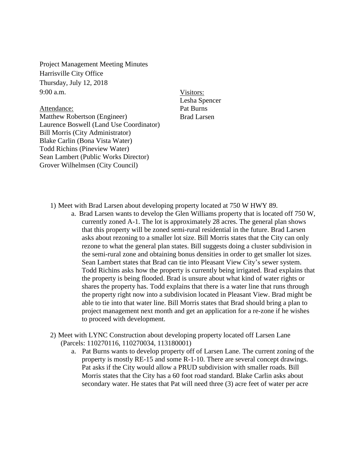Project Management Meeting Minutes Harrisville City Office Thursday, July 12, 2018 9:00 a.m.

Attendance: Matthew Robertson (Engineer) Laurence Boswell (Land Use Coordinator) Bill Morris (City Administrator) Blake Carlin (Bona Vista Water) Todd Richins (Pineview Water) Sean Lambert (Public Works Director) Grover Wilhelmsen (City Council)

Visitors: Lesha Spencer Pat Burns Brad Larsen

- 1) Meet with Brad Larsen about developing property located at 750 W HWY 89.
	- a. Brad Larsen wants to develop the Glen Williams property that is located off 750 W, currently zoned A-1. The lot is approximately 28 acres. The general plan shows that this property will be zoned semi-rural residential in the future. Brad Larsen asks about rezoning to a smaller lot size. Bill Morris states that the City can only rezone to what the general plan states. Bill suggests doing a cluster subdivision in the semi-rural zone and obtaining bonus densities in order to get smaller lot sizes. Sean Lambert states that Brad can tie into Pleasant View City's sewer system. Todd Richins asks how the property is currently being irrigated. Brad explains that the property is being flooded. Brad is unsure about what kind of water rights or shares the property has. Todd explains that there is a water line that runs through the property right now into a subdivision located in Pleasant View. Brad might be able to tie into that water line. Bill Morris states that Brad should bring a plan to project management next month and get an application for a re-zone if he wishes to proceed with development.
- 2) Meet with LYNC Construction about developing property located off Larsen Lane (Parcels: 110270116, 110270034, 113180001)
	- a. Pat Burns wants to develop property off of Larsen Lane. The current zoning of the property is mostly RE-15 and some R-1-10. There are several concept drawings. Pat asks if the City would allow a PRUD subdivision with smaller roads. Bill Morris states that the City has a 60 foot road standard. Blake Carlin asks about secondary water. He states that Pat will need three (3) acre feet of water per acre